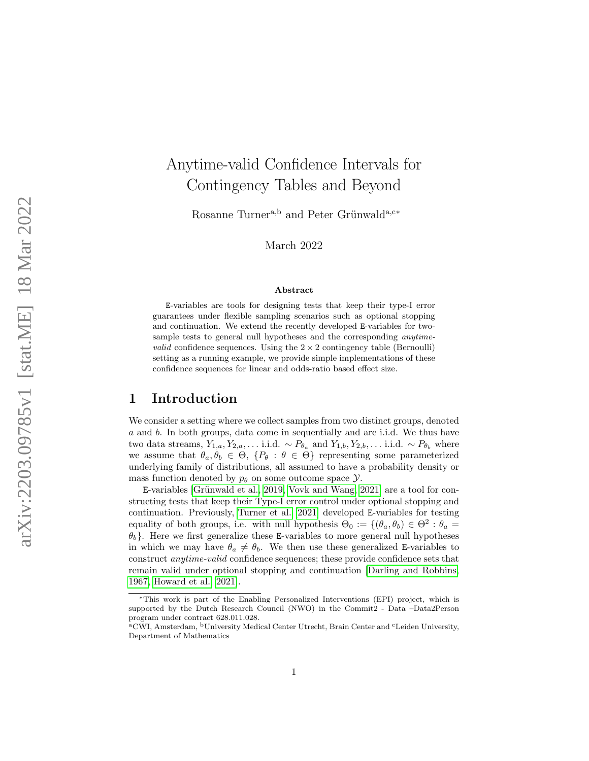# Anytime-valid Confidence Intervals for Contingency Tables and Beyond

Rosanne Turner<sup>a,b</sup> and Peter Grünwald<sup>a,c\*</sup>

March 2022

#### Abstract

E-variables are tools for designing tests that keep their type-I error guarantees under flexible sampling scenarios such as optional stopping and continuation. We extend the recently developed E-variables for twosample tests to general null hypotheses and the corresponding *anytimevalid* confidence sequences. Using the  $2 \times 2$  contingency table (Bernoulli) setting as a running example, we provide simple implementations of these confidence sequences for linear and odds-ratio based effect size.

### 1 Introduction

We consider a setting where we collect samples from two distinct groups, denoted a and b. In both groups, data come in sequentially and are i.i.d. We thus have two data streams,  $Y_{1,a}, Y_{2,a}, \ldots$  i.i.d.  $\sim P_{\theta_a}$  and  $Y_{1,b}, Y_{2,b}, \ldots$  i.i.d.  $\sim P_{\theta_b}$  where we assume that  $\theta_a, \theta_b \in \Theta$ ,  $\{P_\theta : \theta \in \Theta\}$  representing some parameterized underlying family of distributions, all assumed to have a probability density or mass function denoted by  $p_{\theta}$  on some outcome space  $\mathcal{Y}$ .

E-variables [Grünwald et al., 2019, [Vovk and Wang, 2021\]](#page-11-0) are a tool for constructing tests that keep their Type-I error control under optional stopping and continuation. Previously, [Turner et al. \[2021\]](#page-10-1) developed E-variables for testing equality of both groups, i.e. with null hypothesis  $\Theta_0 := \{(\theta_a, \theta_b) \in \Theta^2 : \theta_a =$  $\theta_b$ . Here we first generalize these E-variables to more general null hypotheses in which we may have  $\theta_a \neq \theta_b$ . We then use these generalized E-variables to construct anytime-valid confidence sequences; these provide confidence sets that remain valid under optional stopping and continuation [\[Darling and Robbins,](#page-10-2) [1967,](#page-10-2) [Howard et al., 2021\]](#page-10-3).

<sup>∗</sup>This work is part of the Enabling Personalized Interventions (EPI) project, which is supported by the Dutch Research Council (NWO) in the Commit2 - Data –Data2Person program under contract 628.011.028.

<sup>&</sup>lt;sup>a</sup>CWI, Amsterdam, <sup>b</sup>University Medical Center Utrecht, Brain Center and <sup>c</sup>Leiden University, Department of Mathematics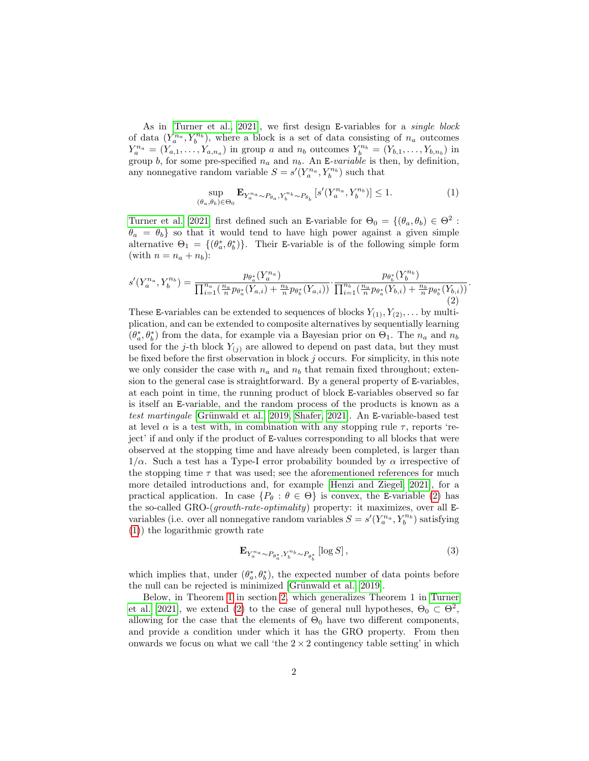As in [\[Turner et al., 2021\]](#page-10-1), we first design E-variables for a single block of data  $(Y_a^{n_a}, Y_b^{n_b})$ , where a block is a set of data consisting of  $n_a$  outcomes  $Y_a^{n_a} = (Y_{a,1},...,Y_{a,n_a})$  in group a and  $n_b$  outcomes  $Y_b^{n_b} = (Y_{b,1},...,Y_{b,n_b})$  in group b, for some pre-specified  $n_a$  and  $n_b$ . An E-variable is then, by definition, any nonnegative random variable  $S = s'(Y_a^{n_a}, Y_b^{n_b})$  such that

<span id="page-1-1"></span>
$$
\sup_{(\theta_a,\theta_b)\in\Theta_0} \mathbf{E}_{Y_a^{n_a}\sim P_{\theta_a},Y_b^{n_b}\sim P_{\theta_b}}\left[s'(Y_a^{n_a},Y_b^{n_b})\right] \le 1.
$$
 (1)

[Turner et al. \[2021\]](#page-10-1) first defined such an E-variable for  $\Theta_0 = \{(\theta_a, \theta_b) \in \Theta^2 :$  $\theta_a = \theta_b$  so that it would tend to have high power against a given simple alternative  $\Theta_1 = \{(\theta_a^*, \theta_b^*)\}.$  Their E-variable is of the following simple form (with  $n = n_a + n_b$ ):

<span id="page-1-0"></span>
$$
s'(Y_a^{n_a}, Y_b^{n_b}) = \frac{p_{\theta_a^*}(Y_a^{n_a})}{\prod_{i=1}^{n_a}(\frac{n_a}{n}p_{\theta_a^*}(Y_{a,i}) + \frac{n_b}{n}p_{\theta_b^*}(Y_{a,i}))} \cdot \frac{p_{\theta_b^*}(Y_b^{n_b})}{\prod_{i=1}^{n_b}(\frac{n_a}{n}p_{\theta_a^*}(Y_{b,i}) + \frac{n_b}{n}p_{\theta_b^*}(Y_{b,i}))}.
$$
\n
$$
(2)
$$

These E-variables can be extended to sequences of blocks  $Y_{(1)}, Y_{(2)}, \ldots$  by multiplication, and can be extended to composite alternatives by sequentially learning  $(\theta_a^*, \theta_b^*)$  from the data, for example via a Bayesian prior on  $\Theta_1$ . The  $n_a$  and  $n_b$ used for the j-th block  $Y_{(i)}$  are allowed to depend on past data, but they must be fixed before the first observation in block  $j$  occurs. For simplicity, in this note we only consider the case with  $n_a$  and  $n_b$  that remain fixed throughout; extension to the general case is straightforward. By a general property of E-variables, at each point in time, the running product of block E-variables observed so far is itself an E-variable, and the random process of the products is known as a test martingale [Grünwald et al., 2019, [Shafer, 2021\]](#page-10-4). An E-variable-based test at level  $\alpha$  is a test with, in combination with any stopping rule  $\tau$ , reports 'reject' if and only if the product of E-values corresponding to all blocks that were observed at the stopping time and have already been completed, is larger than  $1/\alpha$ . Such a test has a Type-I error probability bounded by  $\alpha$  irrespective of the stopping time  $\tau$  that was used; see the aforementioned references for much more detailed introductions and, for example [\[Henzi and Ziegel, 2021\]](#page-10-5), for a practical application. In case  $\{P_\theta : \theta \in \Theta\}$  is convex, the E-variable [\(2\)](#page-1-0) has the so-called GRO-(growth-rate-optimality) property: it maximizes, over all Evariables (i.e. over all nonnegative random variables  $S = s'(Y_a^{n_a}, Y_b^{n_b})$  satisfying [\(1\)](#page-1-1)) the logarithmic growth rate

<span id="page-1-2"></span>
$$
\mathbf{E}_{Y_a^{n_a} \sim P_{\theta_a^*}, Y_b^{n_b} \sim P_{\theta_b^*}} \left[ \log S \right],\tag{3}
$$

which implies that, under  $(\theta_a^*, \theta_b^*)$ , the expected number of data points before the null can be rejected is minimized [Grünwald et al., 2019].

Below, in Theorem [1](#page-3-0) in section [2,](#page-2-0) which generalizes Theorem 1 in [Turner](#page-10-1) [et al. \[2021\]](#page-10-1), we extend [\(2\)](#page-1-0) to the case of general null hypotheses,  $\Theta_0 \subset \Theta^2$ , allowing for the case that the elements of  $\Theta_0$  have two different components, and provide a condition under which it has the GRO property. From then onwards we focus on what we call 'the  $2 \times 2$  contingency table setting' in which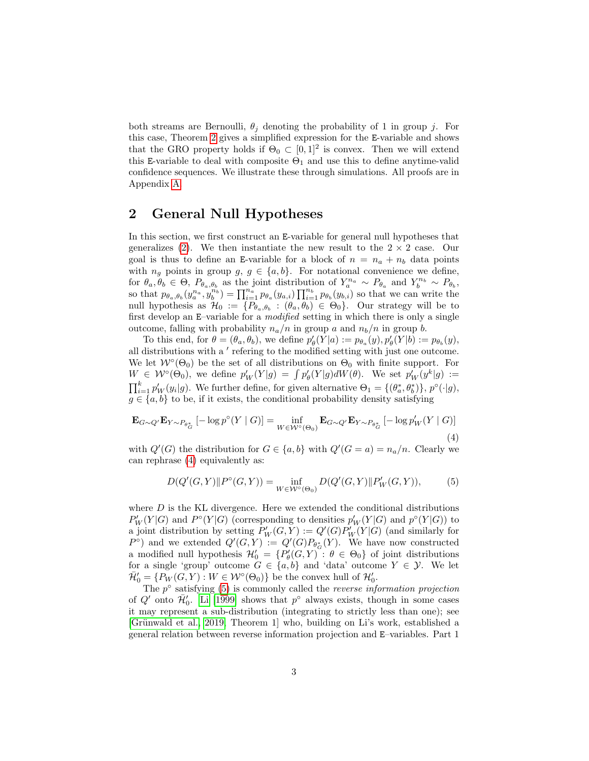both streams are Bernoulli,  $\theta_j$  denoting the probability of 1 in group j. For this case, Theorem [2](#page-4-0) gives a simplified expression for the E-variable and shows that the GRO property holds if  $\Theta_0 \subset [0,1]^2$  is convex. Then we will extend this E-variable to deal with composite  $\Theta_1$  and use this to define anytime-valid confidence sequences. We illustrate these through simulations. All proofs are in Appendix [A.](#page-11-1)

### <span id="page-2-0"></span>2 General Null Hypotheses

In this section, we first construct an E-variable for general null hypotheses that generalizes [\(2\)](#page-1-0). We then instantiate the new result to the  $2 \times 2$  case. Our goal is thus to define an E-variable for a block of  $n = n_a + n_b$  data points with  $n_g$  points in group  $g, g \in \{a, b\}$ . For notational convenience we define, for  $\theta_a, \theta_b \in \Theta$ ,  $P_{\theta_a, \theta_b}$  as the joint distribution of  $Y_a^{n_a} \sim P_{\theta_a}$  and  $Y_b^{n_b} \sim P_{\theta_b}$ , so that  $p_{\theta_a,\theta_b}(y_a^{n_a}, y_b^{n_b}) = \prod_{i=1}^{n_a} p_{\theta_a}(y_{a,i}) \prod_{i=1}^{n_b} p_{\theta_b}(y_{b,i})$  so that we can write the null hypothesis as  $\mathcal{H}_0 := \{P_{\theta_a,\theta_b} : (\theta_a,\theta_b) \in \Theta_0\}$ . Our strategy will be to first develop an E–variable for a modified setting in which there is only a single outcome, falling with probability  $n_a/n$  in group a and  $n_b/n$  in group b.

To this end, for  $\theta = (\theta_a, \theta_b)$ , we define  $p'_\theta(Y|a) := p_{\theta_a}(y), p'_\theta(Y|b) := p_{\theta_b}(y)$ , all distributions with a ' refering to the modified setting with just one outcome. We let  $W^{\circ}(\Theta_0)$  be the set of all distributions on  $\Theta_0$  with finite support. For  $W \in \mathcal{W}^{\circ}(\Theta_0)$ , we define  $p_W'(Y|g) = \int p_{\theta}'(Y|g) dW(\theta)$ . We set  $p_W'(y^k|g) :=$  $\prod_{i=1}^k p'_W(y_i|g)$ . We further define, for given alternative  $\Theta_1 = \{(\theta_a^*, \theta_b^*)\}, p^{\circ}(\cdot|g),$  $g \in \{a, b\}$  to be, if it exists, the conditional probability density satisfying

<span id="page-2-1"></span>
$$
\mathbf{E}_{G \sim Q'} \mathbf{E}_{Y \sim P_{\theta_G^*}} [-\log p^{\circ}(Y \mid G)] = \inf_{W \in \mathcal{W}^{\circ}(\Theta_0)} \mathbf{E}_{G \sim Q'} \mathbf{E}_{Y \sim P_{\theta_G^*}} [-\log p_W'(Y \mid G)]
$$
\n(4)

with  $Q'(G)$  the distribution for  $G \in \{a, b\}$  with  $Q'(G = a) = n_a/n$ . Clearly we can rephrase [\(4\)](#page-2-1) equivalently as:

<span id="page-2-2"></span>
$$
D(Q'(G,Y)||P^{\circ}(G,Y)) = \inf_{W \in \mathcal{W}^{\circ}(\Theta_0)} D(Q'(G,Y)||P'_{W}(G,Y)),
$$
 (5)

where  $D$  is the KL divergence. Here we extended the conditional distributions  $P'_{W}(Y|G)$  and  $P^{\circ}(Y|G)$  (corresponding to densities  $p'_{W}(Y|G)$  and  $p^{\circ}(Y|G)$ ) to a joint distribution by setting  $P'_W(G,Y) := Q'(G)P'_W(Y|G)$  (and similarly for  $P^{\circ}$ ) and we extended  $Q'(G,Y) := Q'(G)P_{\theta_{G}^*}(Y)$ . We have now constructed a modified null hypothesis  $\mathcal{H}'_0 = \{P'_\theta(G, Y) : \theta \in \Theta_0\}$  of joint distributions for a single 'group' outcome  $G \in \{a, b\}$  and 'data' outcome  $Y \in \mathcal{Y}$ . We let  $\bar{\mathcal{H}}'_0 = \{P_W(G, Y) : W \in \mathcal{W}^\circ(\Theta_0)\}\$ be the convex hull of  $\mathcal{H}'_0$ .

The  $p^{\circ}$  satisfying [\(5\)](#page-2-2) is commonly called the *reverse information projection* of Q' onto  $\bar{\mathcal{H}}'_0$ . [Li \[1999\]](#page-10-6) shows that  $p^{\circ}$  always exists, though in some cases it may represent a sub-distribution (integrating to strictly less than one); see [Grünwald et al., 2019, Theorem 1] who, building on Li's work, established a general relation between reverse information projection and E–variables. Part 1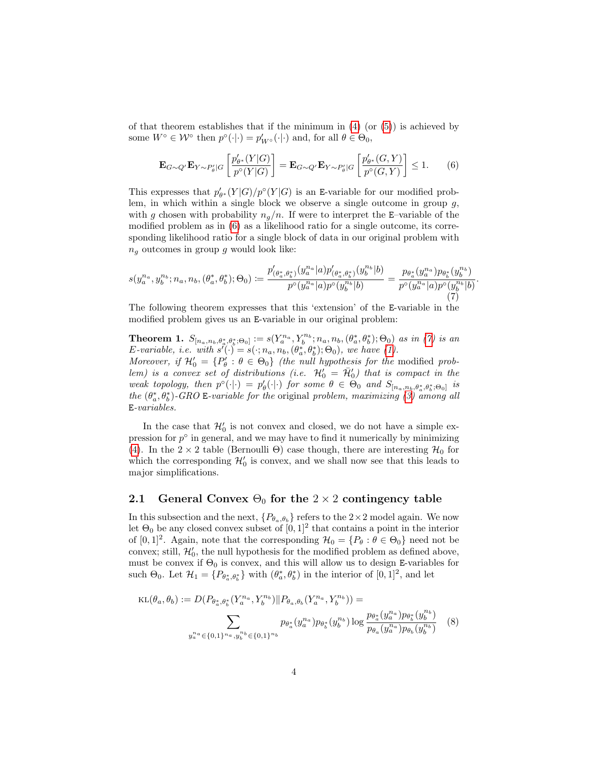of that theorem establishes that if the minimum in  $(4)$  (or  $(5)$ ) is achieved by some  $W^{\circ} \in \mathcal{W}^{\circ}$  then  $p^{\circ}(\cdot|\cdot) = p'_{W^{\circ}}(\cdot|\cdot)$  and, for all  $\theta \in \Theta_0$ ,

<span id="page-3-1"></span>
$$
\mathbf{E}_{G \sim Q'} \mathbf{E}_{Y \sim P'_{\theta}|G} \left[ \frac{p'_{\theta^*}(Y|G)}{p^{\circ}(Y|G)} \right] = \mathbf{E}_{G \sim Q'} \mathbf{E}_{Y \sim P'_{\theta}|G} \left[ \frac{p'_{\theta^*}(G, Y)}{p^{\circ}(G, Y)} \right] \le 1. \tag{6}
$$

This expresses that  $p'_{\theta^*}(Y|G)/p^{\circ}(Y|G)$  is an E-variable for our modified problem, in which within a single block we observe a single outcome in group  $g$ , with g chosen with probability  $n_q/n$ . If were to interpret the E–variable of the modified problem as in [\(6\)](#page-3-1) as a likelihood ratio for a single outcome, its corresponding likelihood ratio for a single block of data in our original problem with  $n_q$  outcomes in group g would look like:

<span id="page-3-2"></span>
$$
s(y_a^{n_a}, y_b^{n_b}; n_a, n_b, (\theta_a^*, \theta_b^*); \Theta_0) := \frac{p'_{(\theta_a^*, \theta_b^*)}(y_a^{n_a} | a) p'_{(\theta_a^*, \theta_b^*)}(y_b^{n_b} | b)}{p^{\circ}(y_a^{n_a} | a) p^{\circ}(y_b^{n_b} | b)} = \frac{p_{\theta_a^*}(y_a^{n_a}) p_{\theta_b^*}(y_b^{n_b})}{p^{\circ}(y_a^{n_a} | a) p^{\circ}(y_b^{n_b} | b)}
$$
(7)

.

The following theorem expresses that this 'extension' of the E-variable in the modified problem gives us an E-variable in our original problem:

<span id="page-3-0"></span>**Theorem 1.**  $S_{[n_a,n_b,\theta_a^*,\theta_b^*;\Theta_0]} := s(Y_a^{n_a}, Y_b^{n_b};n_a,n_b,(\theta_a^*,\theta_b^*);\Theta_0)$  as in [\(7\)](#page-3-2) is an E-variable, i.e. with  $s'(\cdot) = s(\cdot; n_a, n_b, (\theta_a^*, \theta_b^*); \Theta_0)$ , we have [\(1\)](#page-1-1).

Moreover, if  $\mathcal{H}'_0 = \{P'_\theta : \theta \in \Theta_0\}$  (the null hypothesis for the modified problem) is a convex set of distributions (i.e.  $\mathcal{H}'_0 = \bar{\mathcal{H}}'_0$ ) that is compact in the weak topology, then  $p^{\circ}(\cdot|\cdot) = p'_{\theta}(\cdot|\cdot)$  for some  $\theta \in \Theta_0$  and  $S_{[n_a,n_b,\theta_a^*,\theta_b^*,\Theta_0]}$  is the  $(\theta_a^*, \theta_b^*)$ -GRO E-variable for the original problem, maximizing [\(3\)](#page-1-2) among all E-variables.

In the case that  $\mathcal{H}'_0$  is not convex and closed, we do not have a simple expression for  $p^{\circ}$  in general, and we may have to find it numerically by minimizing [\(4\)](#page-2-1). In the  $2 \times 2$  table (Bernoulli Θ) case though, there are interesting  $\mathcal{H}_0$  for which the corresponding  $\mathcal{H}'_0$  is convex, and we shall now see that this leads to major simplifications.

### 2.1 General Convex  $\Theta_0$  for the 2 × 2 contingency table

In this subsection and the next,  $\{P_{\theta_a,\theta_b}\}$  refers to the  $2\times 2$  model again. We now let  $\Theta_0$  be any closed convex subset of  $[0,1]^2$  that contains a point in the interior of  $[0,1]^2$ . Again, note that the corresponding  $\mathcal{H}_0 = \{P_\theta : \theta \in \Theta_0\}$  need not be convex; still,  $\mathcal{H}'_0$ , the null hypothesis for the modified problem as defined above, must be convex if  $\Theta_0$  is convex, and this will allow us to design E-variables for such  $\Theta_0$ . Let  $\mathcal{H}_1 = \{P_{\theta_a^*, \theta_b^*}\}\$  with  $(\theta_a^*, \theta_b^*)$  in the interior of  $[0, 1]^2$ , and let

<span id="page-3-3"></span>
$$
\text{KL}(\theta_a, \theta_b) := D(P_{\theta_a^*, \theta_b^*}(Y_a^{n_a}, Y_b^{n_b}) \| P_{\theta_a, \theta_b}(Y_a^{n_a}, Y_b^{n_b})) =
$$
  

$$
\sum_{y_a^{n_a} \in \{0, 1\}^{n_a}, y_b^{n_b} \in \{0, 1\}^{n_b}} p_{\theta_a^*}(y_a^{n_a}) p_{\theta_b^*}(y_b^{n_b}) \log \frac{p_{\theta_a^*}(y_a^{n_a}) p_{\theta_b^*}(y_b^{n_b})}{p_{\theta_a}(y_a^{n_a}) p_{\theta_b}(y_b^{n_b})}
$$
(8)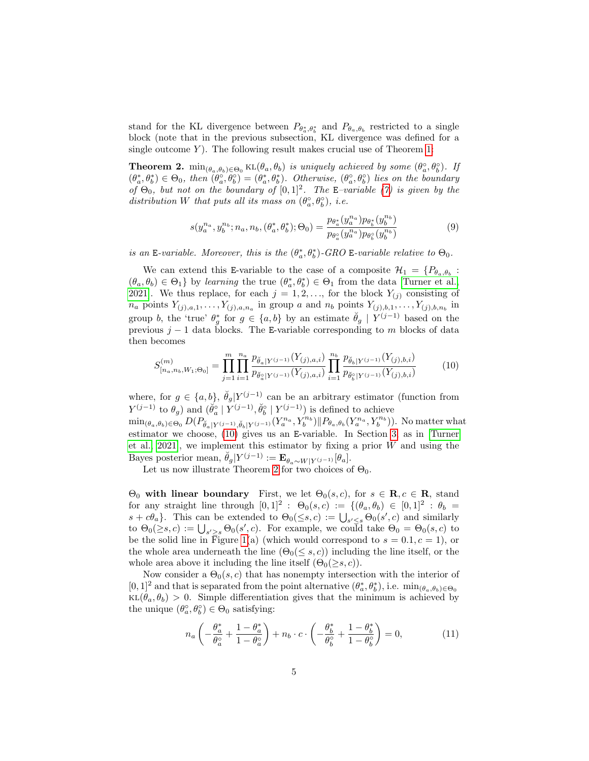stand for the KL divergence between  $P_{\theta_a^*,\theta_b^*}$  and  $P_{\theta_a,\theta_b}$  restricted to a single block (note that in the previous subsection, KL divergence was defined for a single outcome  $Y$ ). The following result makes crucial use of Theorem [1:](#page-3-0)

<span id="page-4-0"></span>**Theorem 2.**  $min_{(\theta_a,\theta_b)\in\Theta_0} KL(\theta_a,\theta_b)$  is uniquely achieved by some  $(\theta_a^{\circ},\theta_b^{\circ})$ . If  $(\theta_a^*, \theta_b^*) \in \Theta_0$ , then  $(\theta_a^{\circ}, \theta_b^{\circ}) = (\theta_a^*, \theta_b^*)$ . Otherwise,  $(\theta_a^{\circ}, \theta_b^{\circ})$  lies on the boundary of  $\Theta_0$ , but not on the boundary of  $[0,1]^2$ . The E-variable [\(7\)](#page-3-2) is given by the distribution W that puts all its mass on  $(\theta_a^{\circ}, \theta_b^{\circ})$ , i.e.

<span id="page-4-2"></span><span id="page-4-1"></span>
$$
s(y_a^{n_a}, y_b^{n_b}; n_a, n_b, (\theta_a^*, \theta_b^*); \Theta_0) = \frac{p_{\theta_a^*}(y_a^{n_a})p_{\theta_b^*}(y_b^{n_b})}{p_{\theta_a^{\circ}}(y_a^{n_a})p_{\theta_b^{\circ}}(y_b^{n_b})}
$$
(9)

is an E-variable. Moreover, this is the  $(\theta_a^*, \theta_b^*)$ -GRO E-variable relative to  $\Theta_0$ .

We can extend this E-variable to the case of a composite  $\mathcal{H}_1 = \{P_{\theta_a, \theta_b}$ :  $(\theta_a, \theta_b) \in \Theta_1$  by learning the true  $(\theta_a^*, \theta_b^*) \in \Theta_1$  from the data [\[Turner et al.,](#page-10-1) [2021\]](#page-10-1). We thus replace, for each  $j = 1, 2, \ldots$ , for the block  $Y_{(j)}$  consisting of  $n_a$  points  $Y_{(j),a,1},\ldots,Y_{(j),a,n_a}$  in group a and  $n_b$  points  $Y_{(j),b,1},\ldots,Y_{(j),b,n_b}$  in group b, the 'true'  $\theta_g^*$  for  $g \in \{a, b\}$  by an estimate  $\check{\theta}_g \mid Y^{(j-1)}$  based on the previous  $j-1$  data blocks. The E-variable corresponding to m blocks of data then becomes

$$
S_{[n_a,n_b,W_1;\Theta_0]}^{(m)} = \prod_{j=1}^m \prod_{i=1}^{n_a} \frac{p_{\check{\theta}_a|Y^{(j-1)}}(Y_{(j),a,i})}{p_{\check{\theta}_a|Y^{(j-1)}}(Y_{(j),a,i})} \prod_{i=1}^{n_b} \frac{p_{\check{\theta}_b|Y^{(j-1)}}(Y_{(j),b,i})}{p_{\check{\theta}_b|Y^{(j-1)}}(Y_{(j),b,i})}
$$
(10)

where, for  $g \in \{a, b\}, \ \check{\theta}_g | Y^{(j-1)}$  can be an arbitrary estimator (function from  $Y^{(j-1)}$  to  $\theta_g$ ) and  $(\check{\theta}_a^{\circ} | Y^{(j-1)}, \check{\theta}_b^{\circ} | Y^{(j-1)})$  is defined to achieve

 $\min_{(\theta_a,\theta_b)\in\Theta_0} D(P_{\breve{\theta}_a|Y^{(j-1)},\breve{\theta}_b|Y^{(j-1)}}(Y_a^{n_a}, Y_b^{n_b}) \| P_{\theta_a,\theta_b}(Y_a^{n_a}, Y_b^{n_b}))$ . No matter what estimator we choose, [\(10\)](#page-4-1) gives us an E-variable. In Section [3,](#page-6-0) as in [\[Turner](#page-10-1) [et al., 2021\]](#page-10-1), we implement this estimator by fixing a prior  $W$  and using the Bayes posterior mean,  $\ddot{\theta}_g|Y^{(j-1)} := \mathbf{E}_{\theta_a \sim W|Y^{(j-1)}}[\theta_a].$ 

Let us now illustrate Theorem [2](#page-4-0) for two choices of  $\Theta_0$ .

 $\Theta_0$  with linear boundary First, we let  $\Theta_0(s,c)$ , for  $s \in \mathbf{R}$ ,  $c \in \mathbf{R}$ , stand for any straight line through  $[0,1]^2$ :  $\Theta_0(s,c) := \{(\theta_a, \theta_b) \in [0,1]^2 : \theta_b =$  $s + c\theta_a$ . This can be extended to  $\Theta_0(\leq s, c) := \bigcup_{s' \leq s} \Theta_0(s', c)$  and similarly to  $\Theta_0(\geq s,c) := \bigcup_{s' \geq s} \Theta_0(s',c)$ . For example, we could take  $\Theta_0 = \Theta_0(s,c)$  to be the solid line in Figure [1\(](#page-5-0)a) (which would correspond to  $s = 0.1, c = 1$ ), or the whole area underneath the line  $(\Theta_0(\leq s, c))$  including the line itself, or the whole area above it including the line itself  $(\Theta_0(\geq s, c))$ .

Now consider a  $\Theta_0(s, c)$  that has nonempty intersection with the interior of  $[0,1]^2$  and that is separated from the point alternative  $(\theta_a^*, \theta_b^*)$ , i.e.  $\min_{(\theta_a, \theta_b) \in \Theta_0}$  $KL(\theta_a, \theta_b) > 0$ . Simple differentiation gives that the minimum is achieved by the unique  $(\theta_a^{\circ}, \theta_b^{\circ}) \in \Theta_0$  satisfying:

<span id="page-4-3"></span>
$$
n_a \left( -\frac{\theta_a^*}{\theta_a^{\circ}} + \frac{1 - \theta_a^*}{1 - \theta_a^{\circ}} \right) + n_b \cdot c \cdot \left( -\frac{\theta_b^*}{\theta_b^{\circ}} + \frac{1 - \theta_b^*}{1 - \theta_b^{\circ}} \right) = 0, \tag{11}
$$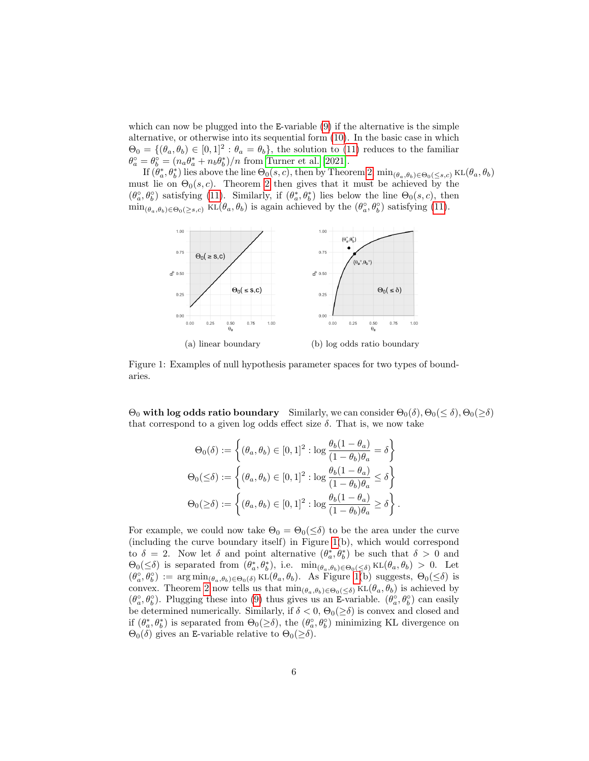which can now be plugged into the E-variable  $(9)$  if the alternative is the simple alternative, or otherwise into its sequential form [\(10\)](#page-4-1). In the basic case in which  $\Theta_0 = \{(\theta_a, \theta_b) \in [0, 1]^2 : \theta_a = \theta_b\},\$  the solution to [\(11\)](#page-4-3) reduces to the familiar  $\theta_a^{\circ} = \theta_b^{\circ} = (n_a \theta_a^* + n_b \theta_b^*)/n$  from [Turner et al. \[2021\]](#page-10-1).

If  $(\theta_a^*, \theta_b^*)$  lies above the line  $\Theta_0(s, c)$ , then by Theorem [2,](#page-4-0)  $\min_{(\theta_a, \theta_b) \in \Theta_0(\leq s, c)} \text{KL}(\theta_a, \theta_b)$ must lie on  $\Theta_0(s, c)$ . Theorem [2](#page-4-0) then gives that it must be achieved by the  $(\theta_a^{\circ}, \theta_b^{\circ})$  satisfying [\(11\)](#page-4-3). Similarly, if  $(\theta_a^*, \theta_b^*)$  lies below the line  $\Theta_0(s, c)$ , then  $\min_{(\theta_a,\theta_b)\in\Theta_0(\geq s,c)} \text{KL}(\theta_a,\theta_b)$  is again achieved by the  $(\theta_a^{\circ},\theta_b^{\circ})$  satisfying [\(11\)](#page-4-3).

<span id="page-5-0"></span>

Figure 1: Examples of null hypothesis parameter spaces for two types of boundaries.

 $\Theta_0$  with log odds ratio boundary Similarly, we can consider  $\Theta_0(\delta)$ ,  $\Theta_0(\leq \delta)$ ,  $\Theta_0(\geq \delta)$ that correspond to a given log odds effect size  $\delta$ . That is, we now take

$$
\Theta_0(\delta) := \left\{ (\theta_a, \theta_b) \in [0, 1]^2 : \log \frac{\theta_b(1 - \theta_a)}{(1 - \theta_b)\theta_a} = \delta \right\}
$$

$$
\Theta_0(\leq \delta) := \left\{ (\theta_a, \theta_b) \in [0, 1]^2 : \log \frac{\theta_b(1 - \theta_a)}{(1 - \theta_b)\theta_a} \leq \delta \right\}
$$

$$
\Theta_0(\geq \delta) := \left\{ (\theta_a, \theta_b) \in [0, 1]^2 : \log \frac{\theta_b(1 - \theta_a)}{(1 - \theta_b)\theta_a} \geq \delta \right\}.
$$

For example, we could now take  $\Theta_0 = \Theta_0(\leq \delta)$  to be the area under the curve (including the curve boundary itself) in Figure [1\(](#page-5-0)b), which would correspond to  $\delta = 2$ . Now let  $\delta$  and point alternative  $(\theta_a^*, \theta_b^*)$  be such that  $\delta > 0$  and  $\Theta_0(\leq \delta)$  is separated from  $(\theta_a^*, \theta_b^*)$ , i.e.  $\min_{(\theta_a, \theta_b) \in \Theta_0(\leq \delta)} \text{KL}(\theta_a, \theta_b) > 0$ . Let  $(\theta_a^{\circ}, \theta_b^{\circ}) := \arg \min_{(\theta_a, \theta_b) \in \Theta_0(\delta)} \text{KL}(\theta_a, \theta_b)$ . As Figure [1\(](#page-5-0)b) suggests,  $\Theta_0(\leq \delta)$  is convex. Theorem [2](#page-4-0) now tells us that  $\min_{(\theta_a, \theta_b) \in \Theta_0(\leq \delta)} \text{KL}(\theta_a, \theta_b)$  is achieved by  $(\theta_a^{\circ}, \theta_b^{\circ})$ . Plugging these into [\(9\)](#page-4-2) thus gives us an E-variable.  $(\theta_a^{\circ}, \theta_b^{\circ})$  can easily be determined numerically. Similarly, if  $\delta < 0$ ,  $\Theta_0(\geq \delta)$  is convex and closed and if  $(\theta_a^*, \theta_b^*)$  is separated from  $\Theta_0(\geq \delta)$ , the  $(\theta_a^{\circ}, \theta_b^{\circ})$  minimizing KL divergence on  $\Theta_0(\delta)$  gives an E-variable relative to  $\Theta_0(\geq \delta)$ .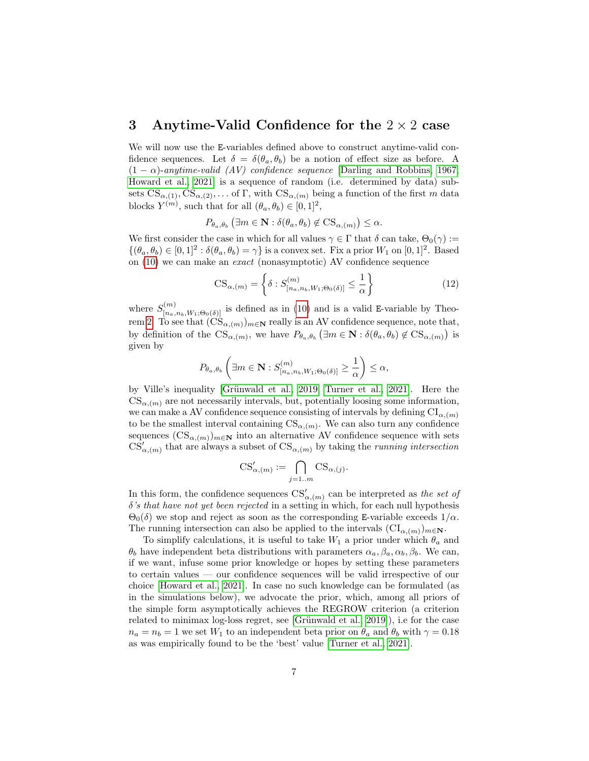### <span id="page-6-0"></span>3 Anytime-Valid Confidence for the  $2 \times 2$  case

We will now use the E-variables defined above to construct anytime-valid confidence sequences. Let  $\delta = \delta(\theta_a, \theta_b)$  be a notion of effect size as before. A  $(1 - \alpha)$ -anytime-valid (AV) confidence sequence [\[Darling and Robbins, 1967,](#page-10-2) [Howard et al., 2021\]](#page-10-3) is a sequence of random (i.e. determined by data) subsets  $CS_{\alpha,(1)}, CS_{\alpha,(2)}, \ldots$  of  $\Gamma$ , with  $CS_{\alpha,(m)}$  being a function of the first m data blocks  $Y^{(m)}$ , such that for all  $(\theta_a, \theta_b) \in [0, 1]^2$ ,

$$
P_{\theta_a, \theta_b} (\exists m \in \mathbf{N} : \delta(\theta_a, \theta_b) \notin \text{CS}_{\alpha, (m)}) \le \alpha.
$$

We first consider the case in which for all values  $\gamma \in \Gamma$  that  $\delta$  can take,  $\Theta_0(\gamma) :=$  $\{(\theta_a, \theta_b) \in [0, 1]^2 : \delta(\theta_a, \theta_b) = \gamma\}$  is a convex set. Fix a prior  $W_1$  on  $[0, 1]^2$ . Based on [\(10\)](#page-4-1) we can make an exact (nonasymptotic) AV confidence sequence

$$
\text{CS}_{\alpha,(m)} = \left\{ \delta : S_{[n_a, n_b, W_1; \Theta_0(\delta)]}^{(m)} \le \frac{1}{\alpha} \right\} \tag{12}
$$

where  $S_{[n_a,n_b,W_1;\Theta_0(\delta)]}^{(m)}$  is defined as in [\(10\)](#page-4-1) and is a valid E-variable by Theo-rem [2.](#page-4-0) To see that  $(\text{CS}_{\alpha,(m)})_{m\in\mathbb{N}}$  really is an AV confidence sequence, note that, by definition of the  $\text{CS}_{\alpha,(m)}$ , we have  $P_{\theta_a,\theta_b}(\exists m \in \mathbf{N} : \delta(\theta_a,\theta_b) \notin \text{CS}_{\alpha,(m)})$  is given by

$$
P_{\theta_a, \theta_b} \left( \exists m \in \mathbf{N} : S_{[n_a, n_b, W_1; \Theta_0(\delta)]}^{(m)} \ge \frac{1}{\alpha} \right) \le \alpha,
$$

by Ville's inequality [Grünwald et al., 2019, [Turner et al., 2021\]](#page-10-1). Here the  $CS_{\alpha,(m)}$  are not necessarily intervals, but, potentially loosing some information, we can make a AV confidence sequence consisting of intervals by defining  $CI_{\alpha,(m)}$ to be the smallest interval containing  $\text{CS}_{\alpha,(m)}$ . We can also turn any confidence sequences  $(\text{CS}_{\alpha,(m)})_{m\in\mathbf{N}}$  into an alternative AV confidence sequence with sets  $\text{CS}'_{\alpha,(m)}$  that are always a subset of  $\text{CS}_{\alpha,(m)}$  by taking the *running intersection* 

$$
CS'_{\alpha,(m)} := \bigcap_{j=1..m} CS_{\alpha,(j)}.
$$

In this form, the confidence sequences  $\text{CS}'_{\alpha,(m)}$  can be interpreted as the set of  $\delta$ 's that have not yet been rejected in a setting in which, for each null hypothesis  $\Theta_0(\delta)$  we stop and reject as soon as the corresponding E-variable exceeds  $1/\alpha$ . The running intersection can also be applied to the intervals  $(\text{CI}_{\alpha,(m)})_{m\in\mathbf{N}}$ .

To simplify calculations, it is useful to take  $W_1$  a prior under which  $\theta_a$  and  $\theta_b$  have independent beta distributions with parameters  $\alpha_a, \beta_a, \alpha_b, \beta_b$ . We can, if we want, infuse some prior knowledge or hopes by setting these parameters to certain values — our confidence sequences will be valid irrespective of our choice [\[Howard et al., 2021\]](#page-10-3). In case no such knowledge can be formulated (as in the simulations below), we advocate the prior, which, among all priors of the simple form asymptotically achieves the REGROW criterion (a criterion related to minimax log-loss regret, see  $[Grünwald et al., 2019]$ , i.e for the case  $n_a = n_b = 1$  we set  $W_1$  to an independent beta prior on  $\theta_a$  and  $\theta_b$  with  $\gamma = 0.18$ as was empirically found to be the 'best' value [\[Turner et al., 2021\]](#page-10-1).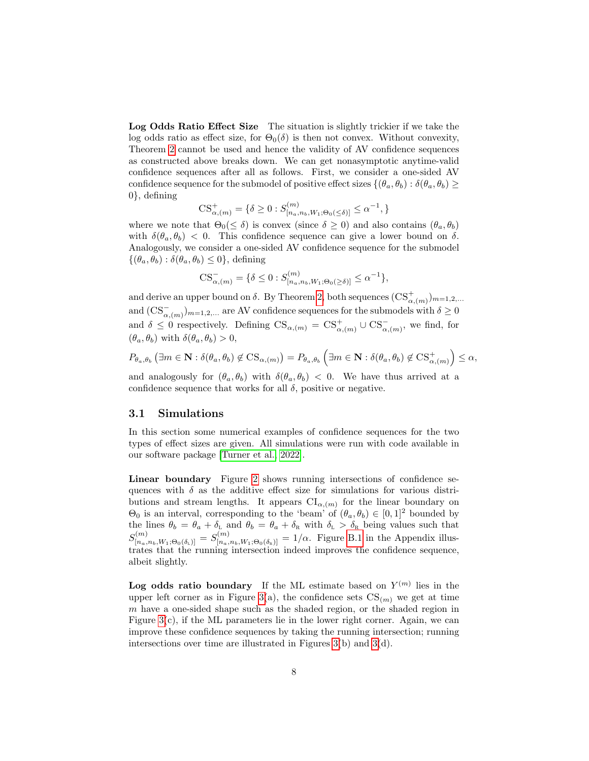Log Odds Ratio Effect Size The situation is slightly trickier if we take the log odds ratio as effect size, for  $\Theta_0(\delta)$  is then not convex. Without convexity, Theorem [2](#page-4-0) cannot be used and hence the validity of AV confidence sequences as constructed above breaks down. We can get nonasymptotic anytime-valid confidence sequences after all as follows. First, we consider a one-sided AV confidence sequence for the submodel of positive effect sizes  $\{(\theta_a, \theta_b) : \delta(\theta_a, \theta_b) \geq \}$ 0}, defining

$$
\text{CS}^+_{\alpha,(m)} = \{ \delta \ge 0 : S^{(m)}_{[n_a,n_b,W_1;\Theta_0(\leq \delta)]} \leq \alpha^{-1}, \}
$$

where we note that  $\Theta_0(\leq \delta)$  is convex (since  $\delta \geq 0$ ) and also contains  $(\theta_a, \theta_b)$ with  $\delta(\theta_a, \theta_b)$  < 0. This confidence sequence can give a lower bound on  $\delta$ . Analogously, we consider a one-sided AV confidence sequence for the submodel  $\{(\theta_a, \theta_b) : \delta(\theta_a, \theta_b) \leq 0\},$  defining

$$
CS_{\alpha,(m)}^{-} = \{\delta \leq 0 : S_{[n_a,n_b,W_1;\Theta_0(\geq \delta)]}^{(m)} \leq \alpha^{-1}\},
$$

and derive an upper bound on  $\delta$ . By Theorem [2,](#page-4-0) both sequences  $(\text{CS}^+_{\alpha,(m)})_{m=1,2,...}$ and  $(\text{CS}_{\alpha,(m)}^-)_{m=1,2,...}$  are AV confidence sequences for the submodels with  $\delta \geq 0$ and  $\delta \leq 0$  respectively. Defining  $\text{CS}_{\alpha,(m)} = \text{CS}_{\alpha,(m)}^+ \cup \text{CS}_{\alpha,(m)}^-$ , we find, for  $(\theta_a, \theta_b)$  with  $\delta(\theta_a, \theta_b) > 0$ ,

$$
P_{\theta_a,\theta_b}(\exists m \in \mathbf{N}: \delta(\theta_a,\theta_b) \notin \mathcal{CS}_{\alpha,(m)}) = P_{\theta_a,\theta_b}(\exists m \in \mathbf{N}: \delta(\theta_a,\theta_b) \notin \mathcal{CS}_{\alpha,(m)}^+\right) \le \alpha,
$$

and analogously for  $(\theta_a, \theta_b)$  with  $\delta(\theta_a, \theta_b) < 0$ . We have thus arrived at a confidence sequence that works for all  $\delta$ , positive or negative.

#### 3.1 Simulations

In this section some numerical examples of confidence sequences for the two types of effect sizes are given. All simulations were run with code available in our software package [\[Turner et al., 2022\]](#page-10-7).

Linear boundary Figure [2](#page-8-0) shows running intersections of confidence sequences with  $\delta$  as the additive effect size for simulations for various distributions and stream lengths. It appears  $CI_{\alpha,(m)}$  for the linear boundary on  $\Theta_0$  is an interval, corresponding to the 'beam' of  $(\theta_a, \theta_b) \in [0, 1]^2$  bounded by the lines  $\theta_b = \theta_a + \delta_{\rm L}$  and  $\theta_b = \theta_a + \delta_{\rm R}$  with  $\delta_{\rm L} > \delta_{\rm R}$  being values such that  $S_{[n_a,n_b,W_1;\Theta_0(\delta_1)]}^{(m)}=S_{[n_a,n_b,W_1;\Theta_0(\delta_1)]}^{(m)}=1/\alpha$ . Figure [B.1](#page-13-0) in the Appendix illustrates that the running intersection indeed improves the confidence sequence, albeit slightly.

Log odds ratio boundary If the ML estimate based on  $Y^{(m)}$  lies in the upper left corner as in Figure [3\(](#page-9-0)a), the confidence sets  $CS_{(m)}$  we get at time m have a one-sided shape such as the shaded region, or the shaded region in Figure  $3(c)$ , if the ML parameters lie in the lower right corner. Again, we can improve these confidence sequences by taking the running intersection; running intersections over time are illustrated in Figures [3\(](#page-9-0)b) and [3\(](#page-9-0)d).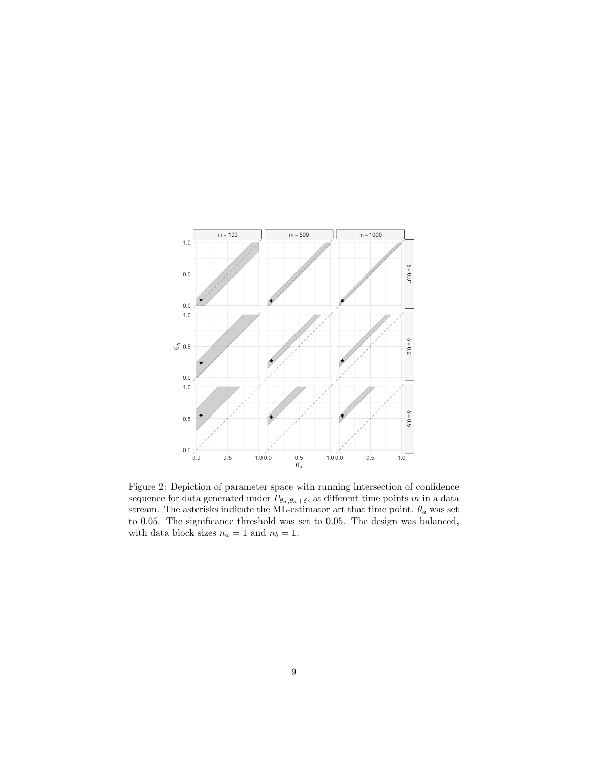<span id="page-8-0"></span>

Figure 2: Depiction of parameter space with running intersection of confidence sequence for data generated under  $P_{\theta_a,\theta_a+\delta},$  at different time points  $m$  in a data stream. The asterisks indicate the ML-estimator art that time point.  $\theta_a$  was set to 0.05. The significance threshold was set to 0.05. The design was balanced, with data block sizes  $n_a = 1$  and  $n_b = 1$ .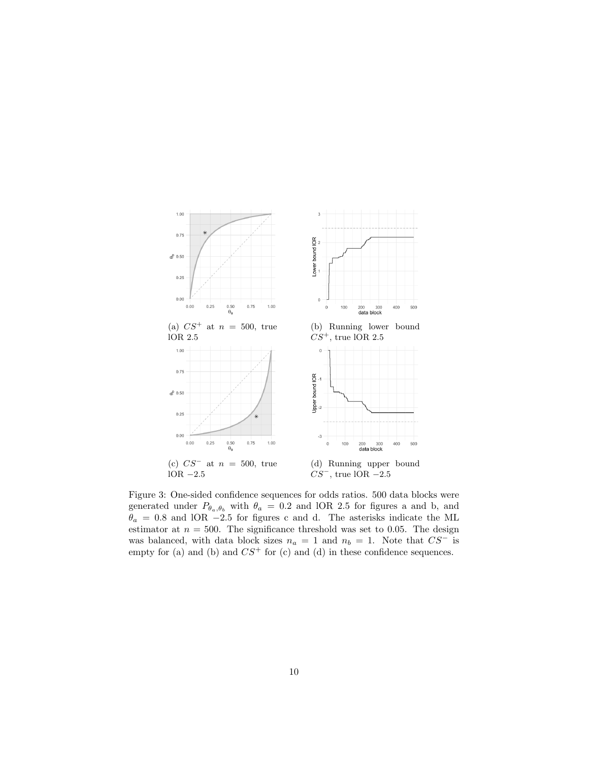<span id="page-9-0"></span>

Figure 3: One-sided confidence sequences for odds ratios. 500 data blocks were generated under  $P_{\theta_a, \theta_b}$  with  $\theta_a = 0.2$  and lOR 2.5 for figures a and b, and  $\theta_a = 0.8$  and lOR −2.5 for figures c and d. The asterisks indicate the ML estimator at  $n = 500$ . The significance threshold was set to 0.05. The design was balanced, with data block sizes  $n_a = 1$  and  $n_b = 1$ . Note that  $CS^-$  is empty for (a) and (b) and  $CS^+$  for (c) and (d) in these confidence sequences.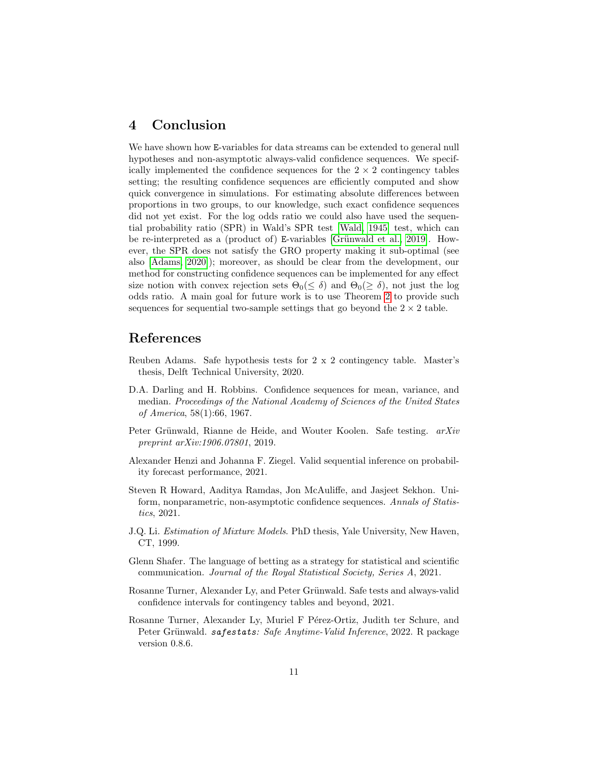### 4 Conclusion

We have shown how E-variables for data streams can be extended to general null hypotheses and non-asymptotic always-valid confidence sequences. We specifically implemented the confidence sequences for the  $2 \times 2$  contingency tables setting; the resulting confidence sequences are efficiently computed and show quick convergence in simulations. For estimating absolute differences between proportions in two groups, to our knowledge, such exact confidence sequences did not yet exist. For the log odds ratio we could also have used the sequential probability ratio (SPR) in Wald's SPR test [\[Wald, 1945\]](#page-11-2) test, which can be re-interpreted as a (product of) E-variables [Grünwald et al., 2019]. However, the SPR does not satisfy the GRO property making it sub-optimal (see also [\[Adams, 2020\]](#page-10-8)); moreover, as should be clear from the development, our method for constructing confidence sequences can be implemented for any effect size notion with convex rejection sets  $\Theta_0(\leq \delta)$  and  $\Theta_0(\geq \delta)$ , not just the log odds ratio. A main goal for future work is to use Theorem [2](#page-4-0) to provide such sequences for sequential two-sample settings that go beyond the  $2 \times 2$  table.

### References

- <span id="page-10-8"></span>Reuben Adams. Safe hypothesis tests for 2 x 2 contingency table. Master's thesis, Delft Technical University, 2020.
- <span id="page-10-2"></span>D.A. Darling and H. Robbins. Confidence sequences for mean, variance, and median. Proceedings of the National Academy of Sciences of the United States of America, 58(1):66, 1967.
- <span id="page-10-0"></span>Peter Grünwald, Rianne de Heide, and Wouter Koolen. Safe testing. arXiv preprint arXiv:1906.07801, 2019.
- <span id="page-10-5"></span>Alexander Henzi and Johanna F. Ziegel. Valid sequential inference on probability forecast performance, 2021.
- <span id="page-10-3"></span>Steven R Howard, Aaditya Ramdas, Jon McAuliffe, and Jasjeet Sekhon. Uniform, nonparametric, non-asymptotic confidence sequences. Annals of Statistics, 2021.
- <span id="page-10-6"></span>J.Q. Li. Estimation of Mixture Models. PhD thesis, Yale University, New Haven, CT, 1999.
- <span id="page-10-4"></span>Glenn Shafer. The language of betting as a strategy for statistical and scientific communication. Journal of the Royal Statistical Society, Series A, 2021.
- <span id="page-10-1"></span>Rosanne Turner, Alexander Ly, and Peter Grünwald. Safe tests and always-valid confidence intervals for contingency tables and beyond, 2021.
- <span id="page-10-7"></span>Rosanne Turner, Alexander Ly, Muriel F Pérez-Ortiz, Judith ter Schure, and Peter Grünwald. safestats: Safe Anytime-Valid Inference, 2022. R package version 0.8.6.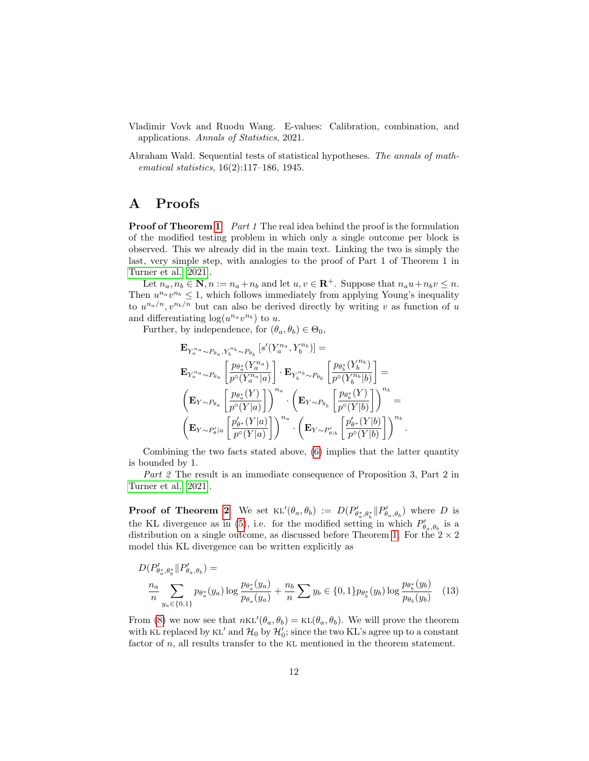- <span id="page-11-0"></span>Vladimir Vovk and Ruodu Wang. E-values: Calibration, combination, and applications. Annals of Statistics, 2021.
- <span id="page-11-2"></span>Abraham Wald. Sequential tests of statistical hypotheses. The annals of mathematical statistics, 16(2):117–186, 1945.

### <span id="page-11-1"></span>A Proofs

**Proof of Theorem [1](#page-3-0)** Part 1 The real idea behind the proof is the formulation of the modified testing problem in which only a single outcome per block is observed. This we already did in the main text. Linking the two is simply the last, very simple step, with analogies to the proof of Part 1 of Theorem 1 in [Turner et al. \[2021\]](#page-10-1).

Let  $n_a, n_b \in \mathbb{N}, n := n_a + n_b$  and let  $u, v \in \mathbb{R}^+$ . Suppose that  $n_a u + n_b v \leq n$ . Then  $u^{n_a}v^{n_b} \leq 1$ , which follows immediately from applying Young's inequality to  $u^{n_a/n}, v^{n_b/n}$  but can also be derived directly by writing v as function of u and differentiating  $\log(u^{n_a}v^{n_b})$  to u.

Further, by independence, for  $(\theta_a, \theta_b) \in \Theta_0$ ,

$$
\begin{aligned} &\mathbf{E}_{Y_a^{n_a}\sim P_{\theta_a},Y_b^{n_b}\sim P_{\theta_b}}\left[s'(Y_a^{n_a},Y_b^{n_b})\right]= \\&\mathbf{E}_{Y_a^{n_a}\sim P_{\theta_a}}\left[\frac{p_{\theta_a^*}(Y_a^{n_a})}{p^\circ(Y_a^{n_a}|a)}\right]\cdot\mathbf{E}_{Y_b^{n_b}\sim P_{\theta_b}}\left[\frac{p_{\theta_b^*}(Y_b^{n_b})}{p^\circ(Y_b^{n_b}|b)}\right]= \\&\left(\mathbf{E}_{Y\sim P_{\theta_a}}\left[\frac{p_{\theta_a^*}(Y)}{p^\circ(Y|a)}\right]\right)^{n_a}\cdot\left(\mathbf{E}_{Y\sim P_{\theta_b}}\left[\frac{p_{\theta_b^*}(Y)}{p^\circ(Y|b)}\right]\right)^{n_b}= \\&\left(\mathbf{E}_{Y\sim P'_\theta|a}\left[\frac{p'_{\theta^*}(Y|a)}{p^\circ(Y|a)}\right]\right)^{n_a}\cdot\left(\mathbf{E}_{Y\sim P'_{\theta|b}}\left[\frac{p'_{\theta^*}(Y|b)}{p^\circ(Y|b)}\right]\right)^{n_b} \end{aligned}
$$

Combining the two facts stated above, [\(6\)](#page-3-1) implies that the latter quantity is bounded by 1.

.

Part 2 The result is an immediate consequence of Proposition 3, Part 2 in [Turner et al. \[2021\]](#page-10-1).

**Proof of Theorem [2](#page-4-0)** We set  $KL'(\theta_a, \theta_b) := D(P'_{\theta_a^*, \theta_b^*} || P'_{\theta_a, \theta_b})$  where D is the KL divergence as in [\(5\)](#page-2-2), i.e. for the modified setting in which  $P'_{\theta_a,\theta_b}$  is a distribution on a single outcome, as discussed before Theorem [1.](#page-3-0) For the  $2 \times 2$ model this KL divergence can be written explicitly as

$$
D(P'_{\theta_a^*, \theta_b^*} || P'_{\theta_a, \theta_b}) =
$$
  

$$
\frac{n_a}{n} \sum_{y_a \in \{0, 1\}} p_{\theta_a^*}(y_a) \log \frac{p_{\theta_a^*}(y_a)}{p_{\theta_a}(y_a)} + \frac{n_b}{n} \sum y_b \in \{0, 1\} p_{\theta_b^*}(y_b) \log \frac{p_{\theta_b^*}(y_b)}{p_{\theta_b}(y_b)} \quad (13)
$$

From [\(8\)](#page-3-3) we now see that  $nKL'(\theta_a, \theta_b) = KL(\theta_a, \theta_b)$ . We will prove the theorem with KL replaced by KL' and  $\mathcal{H}_0$  by  $\mathcal{H}'_0$ ; since the two KL's agree up to a constant factor of n, all results transfer to the KL mentioned in the theorem statement.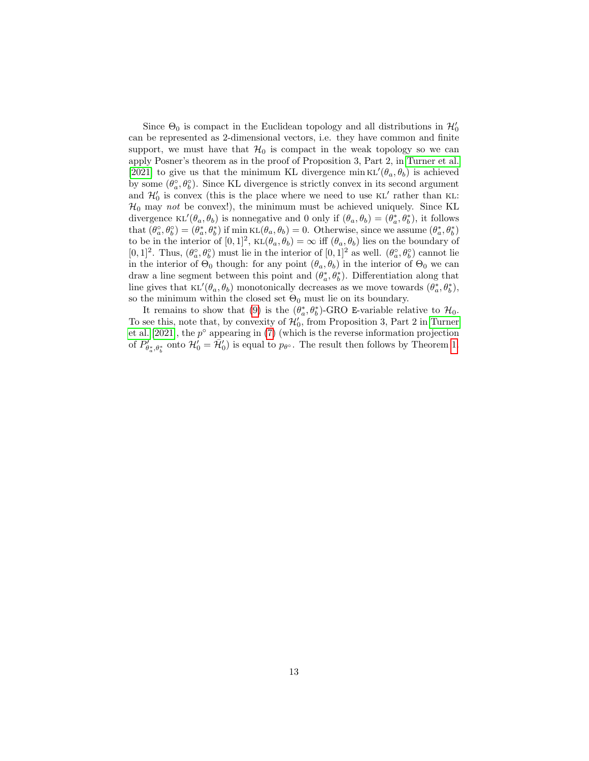Since  $\Theta_0$  is compact in the Euclidean topology and all distributions in  $\mathcal{H}'_0$ can be represented as 2-dimensional vectors, i.e. they have common and finite support, we must have that  $\mathcal{H}_0$  is compact in the weak topology so we can apply Posner's theorem as in the proof of Proposition 3, Part 2, in [Turner et al.](#page-10-1) [\[2021\]](#page-10-1) to give us that the minimum KL divergence  $\min \kappa L'(\theta_a, \theta_b)$  is achieved by some  $(\theta_a^{\circ}, \theta_b^{\circ})$ . Since KL divergence is strictly convex in its second argument and  $\mathcal{H}'_0$  is convex (this is the place where we need to use KL' rather than KL:  $\mathcal{H}_0$  may not be convex!), the minimum must be achieved uniquely. Since KL divergence  $\text{KL}'(\theta_a, \theta_b)$  is nonnegative and 0 only if  $(\theta_a, \theta_b) = (\theta_a^*, \theta_b^*)$ , it follows that  $(\theta_a^{\circ}, \theta_b^{\circ}) = (\theta_a^*, \theta_b^*)$  if min  $KL(\theta_a, \theta_b) = 0$ . Otherwise, since we assume  $(\theta_a^*, \theta_b^*)$ to be in the interior of  $[0,1]^2$ ,  $KL(\theta_a, \theta_b) = \infty$  iff  $(\theta_a, \theta_b)$  lies on the boundary of [0, 1]<sup>2</sup>. Thus,  $(\theta_a^{\circ}, \theta_b^{\circ})$  must lie in the interior of  $[0, 1]^2$  as well.  $(\theta_a^{\circ}, \theta_b^{\circ})$  cannot lie in the interior of  $\Theta_0$  though: for any point  $(\theta_a, \theta_b)$  in the interior of  $\Theta_0$  we can draw a line segment between this point and  $(\theta_a^*, \theta_b^*)$ . Differentiation along that line gives that  $KL'(\theta_a, \theta_b)$  monotonically decreases as we move towards  $(\theta_a^*, \theta_b^*),$ so the minimum within the closed set  $\Theta_0$  must lie on its boundary.

It remains to show that [\(9\)](#page-4-2) is the  $(\theta_a^*, \theta_b^*)$ -GRO E-variable relative to  $\mathcal{H}_0$ . To see this, note that, by convexity of  $\mathcal{H}'_0$ , from Proposition 3, Part 2 in [Turner](#page-10-1) et al.  $[2021]$ , the  $p^{\circ}$  appearing in [\(7\)](#page-3-2) (which is the reverse information projection of  $P'_{\theta^*_a, \theta^*_b}$  onto  $\mathcal{H}'_0 = \overline{\mathcal{H}}'_0$  is equal to  $p_{\theta^o}$ . The result then follows by Theorem [1.](#page-3-0)